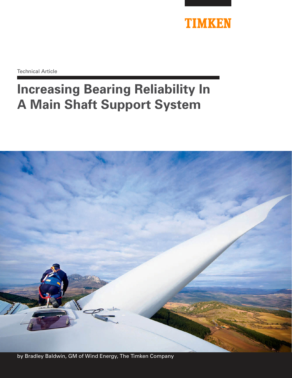

Technical Article

# **Increasing Bearing Reliability In A Main Shaft Support System**

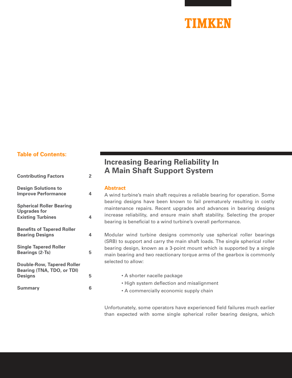# TIMKEN

## **Table of Contents:**

| <b>Contributing Factors</b>                                                        | 2 |
|------------------------------------------------------------------------------------|---|
| <b>Design Solutions to</b><br><b>Improve Performance</b>                           | 4 |
| <b>Spherical Roller Bearing</b><br><b>Upgrades for</b><br><b>Existing Turbines</b> | 4 |
| <b>Benefits of Tapered Roller</b><br><b>Bearing Designs</b>                        | 4 |
| <b>Single Tapered Roller</b><br><b>Bearings (2-Ts)</b>                             | 5 |
| <b>Double-Row, Tapered Roller</b><br>Bearing (TNA, TDO, or TDI)<br><b>Designs</b>  | 5 |
| <b>Summary</b>                                                                     | 6 |

# **Increasing Bearing Reliability In A Main Shaft Support System**

#### **Abstract**

A wind turbine's main shaft requires a reliable bearing for operation. Some bearing designs have been known to fail prematurely resulting in costly maintenance repairs. Recent upgrades and advances in bearing designs increase reliability, and ensure main shaft stability. Selecting the proper bearing is beneficial to a wind turbine's overall performance.

Modular wind turbine designs commonly use spherical roller bearings (SRB) to support and carry the main shaft loads. The single spherical roller bearing design, known as a 3-point mount which is supported by a single main bearing and two reactionary torque arms of the gearbox is commonly selected to allow:

| 5 | • A shorter nacelle package                                                         |
|---|-------------------------------------------------------------------------------------|
| 6 | • High system deflection and misalignment<br>• A commercially economic supply chain |

Unfortunately, some operators have experienced field failures much earlier than expected with some single spherical roller bearing designs, which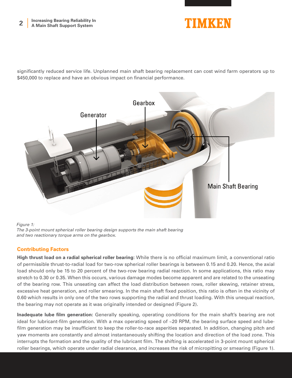

significantly reduced service life. Unplanned main shaft bearing replacement can cost wind farm operators up to \$450,000 to replace and have an obvious impact on financial performance.



*Figure 1:* 

*The 3-point mount spherical roller bearing design supports the main shaft bearing and two reactionary torque arms on the gearbox.*

## **Contributing Factors**

**High thrust load on a radial spherical roller bearing:** While there is no official maximum limit, a conventional ratio of permissible thrust-to-radial load for two-row spherical roller bearings is between 0.15 and 0.20. Hence, the axial load should only be 15 to 20 percent of the two-row bearing radial reaction. In some applications, this ratio may stretch to 0.30 or 0.35. When this occurs, various damage modes become apparent and are related to the unseating of the bearing row. This unseating can affect the load distribution between rows, roller skewing, retainer stress, excessive heat generation, and roller smearing. In the main shaft fixed position, this ratio is often in the vicinity of 0.60 which results in only one of the two rows supporting the radial and thrust loading. With this unequal reaction, the bearing may not operate as it was originally intended or designed (Figure 2).

**Inadequate lube film generation:** Generally speaking, operating conditions for the main shaft's bearing are not ideal for lubricant-film generation. With a max operating speed of ~20 RPM, the bearing surface speed and lubefilm generation may be insufficient to keep the roller-to-race asperities separated. In addition, changing pitch and yaw moments are constantly and almost instantaneously shifting the location and direction of the load zone. This interrupts the formation and the quality of the lubricant film. The shifting is accelerated in 3-point mount spherical roller bearings, which operate under radial clearance, and increases the risk of micropitting or smearing (Figure 1).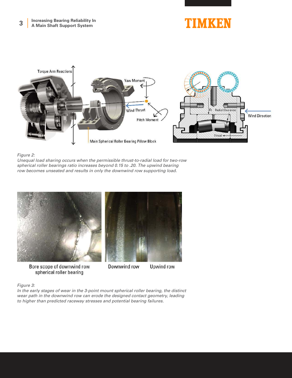# TIMKEN



#### *Figure 2:*

*Unequal load sharing occurs when the permissible thrust-to-radial load for two-row spherical roller bearings ratio increases beyond 0.15 to .20. The upwind bearing row becomes unseated and results in only the downwind row supporting load.*



Bore scope of downwind row spherical roller bearing



Upwind row

#### *Figure 3:*

*In the early stages of wear in the 3-point mount spherical roller bearing, the distinct wear path in the downwind row can erode the designed contact geometry, leading to higher than predicted raceway stresses and potential bearing failures.*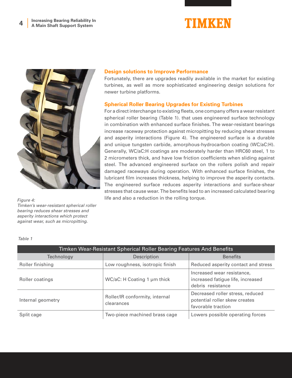



*Timken's wear-resistant spherical roller bearing reduces shear stresses and asperity interactions which protect against wear, such as micropitting.* 

#### **Design solutions to Improve Performance**

Fortunately, there are upgrades readily available in the market for existing turbines, as well as more sophisticated engineering design solutions for newer turbine platforms.

### **Spherical Roller Bearing Upgrades for Existing Turbines**

For a direct interchange to existing fleets, one company offers a wear resistant spherical roller bearing (Table 1). that uses engineered surface technology in combination with enhanced surface finishes. The wear-resistant bearings increase raceway protection against micropitting by reducing shear stresses and asperity interactions (Figure 4). The engineered surface is a durable and unique tungsten carbide, amorphous-hydrocarbon coating (WC/aC:H). Generally, WC/aC:H coatings are moderately harder than HRC60 steel, 1 to 2 micrometers thick, and have low friction coefficients when sliding against steel. The advanced engineered surface on the rollers polish and repair damaged raceways during operation. With enhanced surface finishes, the lubricant film increases thickness, helping to improve the asperity contacts. The engineered surface reduces asperity interactions and surface-shear stresses that cause wear. The benefits lead to an increased calculated bearing life and also a reduction in the rolling torque. *Figure 4:* 

| Timken Wear-Resistant Spherical Roller Bearing Features And Benefits |                                              |                                                                                         |  |  |  |
|----------------------------------------------------------------------|----------------------------------------------|-----------------------------------------------------------------------------------------|--|--|--|
| Technology                                                           | Description                                  | <b>Benefits</b>                                                                         |  |  |  |
| Roller finishing                                                     | Low roughness, isotropic finish              | Reduced asperity contact and stress                                                     |  |  |  |
| Roller coatings                                                      | WC/aC: H Coating 1 µm thick                  | Increased wear resistance,<br>increased fatigue life, increased<br>debris resistance    |  |  |  |
| Internal geometry                                                    | Roller/IR conformity, internal<br>clearances | Decreased roller stress, reduced<br>potential roller skew creates<br>favorable traction |  |  |  |
| Split cage                                                           | Two-piece machined brass cage                | Lowers possible operating forces                                                        |  |  |  |

*Table 1*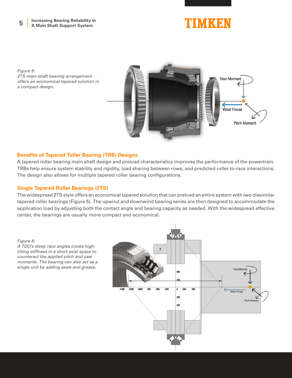# TIMKEN

*Figure 5: 2TS main shaft bearing arrangement offers an economical tapered solution in a compact design.*



### **Benefits of Tapered Toller Bearing (TRB) Designs**

A tapered roller bearing main shaft design and preload characteristics improves the performance of the powertrain. TRBs help ensure system stability and rigidity, load sharing between rows, and predicted roller-to-race interactions. The design also allows for multiple tapered roller bearing configurations.

### **Single Tapered Roller Bearings (2TS)**

The widespread 2TS style offers an economical tapered solution that can preload an entire system with two dissimilar tapered roller bearings (Figure 5). The upwind and downwind bearing series are then designed to accommodate the application load by adjusting both the contact angle and bearing capacity as needed. With the widespread effective center, the bearings are usually more compact and economical.

*Figure 6:* 

*A TDO's steep race angles create hightilting stiffness in a short axial space to counteract the applied pitch and yaw moments. The bearing can also act as a single unit by adding seals and grease.*